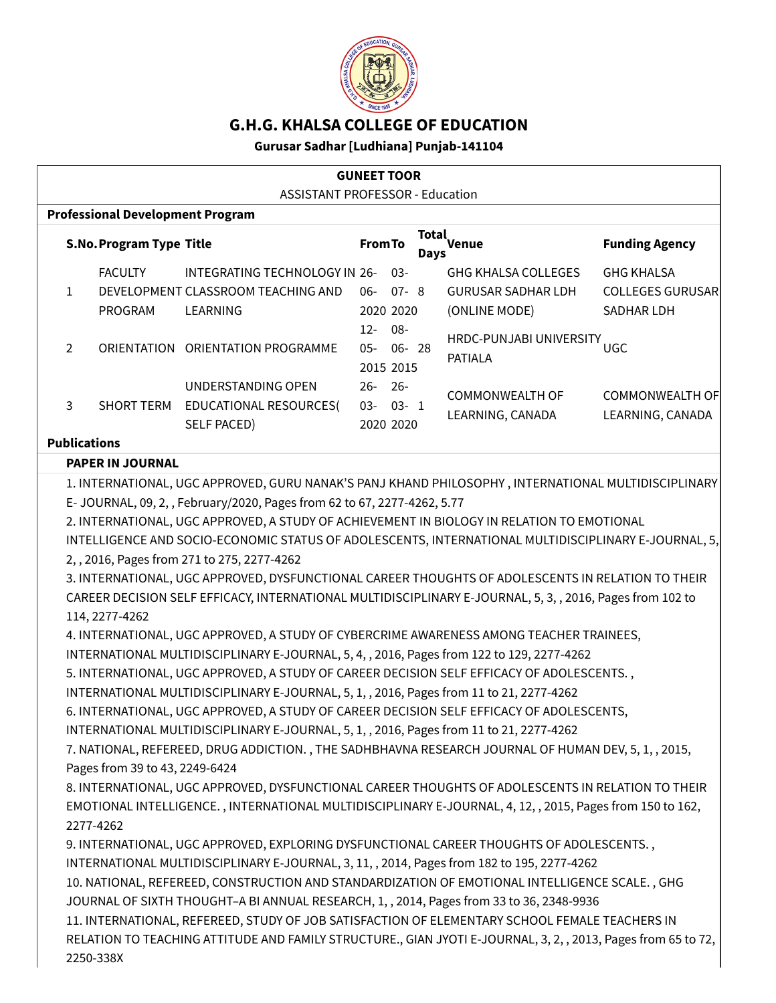

# **G.H.G. KHALSA COLLEGE OF EDUCATION**

## **Gurusar Sadhar [Ludhiana] Punjab-141104**

| <b>GUNEET TOOR</b>                                                                |                                                                                                                                                                                                                                                                                                                                                                                                                                                                                                                                                                                                                                                                                                                                                                                                                                                                                                                                                                                                                                                                                                                                                                                                                                                                                                                                                                                                                                                                                                                                                                                                                                                                                                                                                                                                                                                                                                                                                                                                                                                          |                                      |                             |                                                                          |                                                            |  |  |
|-----------------------------------------------------------------------------------|----------------------------------------------------------------------------------------------------------------------------------------------------------------------------------------------------------------------------------------------------------------------------------------------------------------------------------------------------------------------------------------------------------------------------------------------------------------------------------------------------------------------------------------------------------------------------------------------------------------------------------------------------------------------------------------------------------------------------------------------------------------------------------------------------------------------------------------------------------------------------------------------------------------------------------------------------------------------------------------------------------------------------------------------------------------------------------------------------------------------------------------------------------------------------------------------------------------------------------------------------------------------------------------------------------------------------------------------------------------------------------------------------------------------------------------------------------------------------------------------------------------------------------------------------------------------------------------------------------------------------------------------------------------------------------------------------------------------------------------------------------------------------------------------------------------------------------------------------------------------------------------------------------------------------------------------------------------------------------------------------------------------------------------------------------|--------------------------------------|-----------------------------|--------------------------------------------------------------------------|------------------------------------------------------------|--|--|
| <b>ASSISTANT PROFESSOR - Education</b><br><b>Professional Development Program</b> |                                                                                                                                                                                                                                                                                                                                                                                                                                                                                                                                                                                                                                                                                                                                                                                                                                                                                                                                                                                                                                                                                                                                                                                                                                                                                                                                                                                                                                                                                                                                                                                                                                                                                                                                                                                                                                                                                                                                                                                                                                                          |                                      |                             |                                                                          |                                                            |  |  |
| <b>S.No. Program Type Title</b>                                                   |                                                                                                                                                                                                                                                                                                                                                                                                                                                                                                                                                                                                                                                                                                                                                                                                                                                                                                                                                                                                                                                                                                                                                                                                                                                                                                                                                                                                                                                                                                                                                                                                                                                                                                                                                                                                                                                                                                                                                                                                                                                          | <b>From To</b>                       | <b>Total</b><br><b>Days</b> | Venue                                                                    | <b>Funding Agency</b>                                      |  |  |
| <b>FACULTY</b><br>$\mathbf{1}$<br>PROGRAM                                         | INTEGRATING TECHNOLOGY IN 26-<br>DEVELOPMENT CLASSROOM TEACHING AND<br>LEARNING                                                                                                                                                                                                                                                                                                                                                                                                                                                                                                                                                                                                                                                                                                                                                                                                                                                                                                                                                                                                                                                                                                                                                                                                                                                                                                                                                                                                                                                                                                                                                                                                                                                                                                                                                                                                                                                                                                                                                                          | $06 - 07 - 8$<br>2020 2020<br>$12 -$ | $03 -$<br>$08 -$            | <b>GHG KHALSA COLLEGES</b><br><b>GURUSAR SADHAR LDH</b><br>(ONLINE MODE) | <b>GHG KHALSA</b><br><b>COLLEGES GURUSAR</b><br>SADHAR LDH |  |  |
| $\overline{2}$                                                                    | ORIENTATION ORIENTATION PROGRAMME                                                                                                                                                                                                                                                                                                                                                                                                                                                                                                                                                                                                                                                                                                                                                                                                                                                                                                                                                                                                                                                                                                                                                                                                                                                                                                                                                                                                                                                                                                                                                                                                                                                                                                                                                                                                                                                                                                                                                                                                                        | $05-$<br>2015 2015                   | 06-28                       | HRDC-PUNJABI UNIVERSITY UGC<br><b>PATIALA</b>                            |                                                            |  |  |
| 3<br><b>SHORT TERM</b>                                                            | UNDERSTANDING OPEN<br>EDUCATIONAL RESOURCES(<br><b>SELF PACED)</b>                                                                                                                                                                                                                                                                                                                                                                                                                                                                                                                                                                                                                                                                                                                                                                                                                                                                                                                                                                                                                                                                                                                                                                                                                                                                                                                                                                                                                                                                                                                                                                                                                                                                                                                                                                                                                                                                                                                                                                                       | 26-26-<br>$03 - 03 - 1$<br>2020 2020 |                             | <b>COMMONWEALTH OF</b><br>LEARNING, CANADA                               | <b>COMMONWEALTH OF</b><br>LEARNING, CANADA                 |  |  |
| <b>Publications</b><br><b>PAPER IN JOURNAL</b>                                    |                                                                                                                                                                                                                                                                                                                                                                                                                                                                                                                                                                                                                                                                                                                                                                                                                                                                                                                                                                                                                                                                                                                                                                                                                                                                                                                                                                                                                                                                                                                                                                                                                                                                                                                                                                                                                                                                                                                                                                                                                                                          |                                      |                             |                                                                          |                                                            |  |  |
| 114, 2277-4262<br>Pages from 39 to 43, 2249-6424<br>2277-4262                     | E-JOURNAL, 09, 2,, February/2020, Pages from 62 to 67, 2277-4262, 5.77<br>2. INTERNATIONAL, UGC APPROVED, A STUDY OF ACHIEVEMENT IN BIOLOGY IN RELATION TO EMOTIONAL<br>INTELLIGENCE AND SOCIO-ECONOMIC STATUS OF ADOLESCENTS, INTERNATIONAL MULTIDISCIPLINARY E-JOURNAL, 5,<br>2, , 2016, Pages from 271 to 275, 2277-4262<br>3. INTERNATIONAL, UGC APPROVED, DYSFUNCTIONAL CAREER THOUGHTS OF ADOLESCENTS IN RELATION TO THEIR<br>CAREER DECISION SELF EFFICACY, INTERNATIONAL MULTIDISCIPLINARY E-JOURNAL, 5, 3, , 2016, Pages from 102 to<br>4. INTERNATIONAL, UGC APPROVED, A STUDY OF CYBERCRIME AWARENESS AMONG TEACHER TRAINEES,<br>INTERNATIONAL MULTIDISCIPLINARY E-JOURNAL, 5, 4, , 2016, Pages from 122 to 129, 2277-4262<br>5. INTERNATIONAL, UGC APPROVED, A STUDY OF CAREER DECISION SELF EFFICACY OF ADOLESCENTS.,<br>INTERNATIONAL MULTIDISCIPLINARY E-JOURNAL, 5, 1, , 2016, Pages from 11 to 21, 2277-4262<br>6. INTERNATIONAL, UGC APPROVED, A STUDY OF CAREER DECISION SELF EFFICACY OF ADOLESCENTS,<br>INTERNATIONAL MULTIDISCIPLINARY E-JOURNAL, 5, 1, , 2016, Pages from 11 to 21, 2277-4262<br>7. NATIONAL, REFEREED, DRUG ADDICTION., THE SADHBHAVNA RESEARCH JOURNAL OF HUMAN DEV, 5, 1, , 2015,<br>8. INTERNATIONAL, UGC APPROVED, DYSFUNCTIONAL CAREER THOUGHTS OF ADOLESCENTS IN RELATION TO THEIR<br>EMOTIONAL INTELLIGENCE., INTERNATIONAL MULTIDISCIPLINARY E-JOURNAL, 4, 12, , 2015, Pages from 150 to 162,<br>9. INTERNATIONAL, UGC APPROVED, EXPLORING DYSFUNCTIONAL CAREER THOUGHTS OF ADOLESCENTS.,<br>INTERNATIONAL MULTIDISCIPLINARY E-JOURNAL, 3, 11, , 2014, Pages from 182 to 195, 2277-4262<br>10. NATIONAL, REFEREED, CONSTRUCTION AND STANDARDIZATION OF EMOTIONAL INTELLIGENCE SCALE., GHG<br>JOURNAL OF SIXTH THOUGHT-A BI ANNUAL RESEARCH, 1, , 2014, Pages from 33 to 36, 2348-9936<br>11. INTERNATIONAL, REFEREED, STUDY OF JOB SATISFACTION OF ELEMENTARY SCHOOL FEMALE TEACHERS IN<br>RELATION TO TEACHING ATTITUDE AND FAMILY STRUCTURE., GIAN JYOTI E-JOURNAL, 3, 2, , 2013, Pages from 65 to 72, |                                      |                             |                                                                          |                                                            |  |  |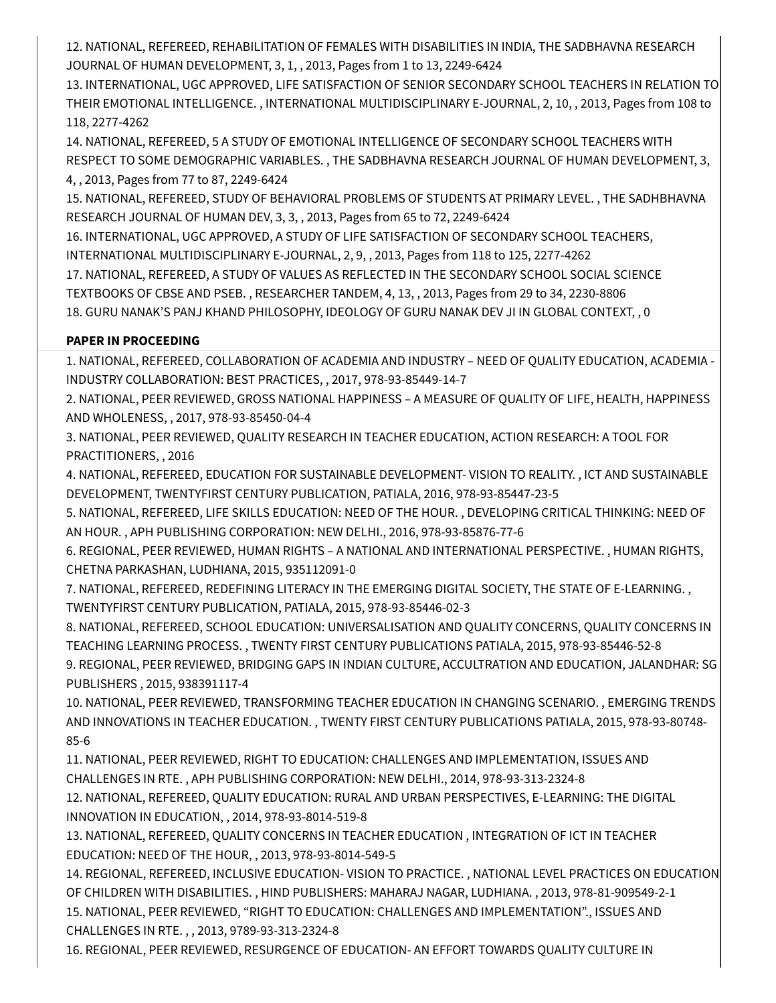12. NATIONAL, REFEREED, REHABILITATION OF FEMALES WITH DISABILITIES IN INDIA, THE SADBHAVNA RESEARCH JOURNAL OF HUMAN DEVELOPMENT, 3, 1, , 2013, Pages from 1 to 13, 2249-6424

13. INTERNATIONAL, UGC APPROVED, LIFE SATISFACTION OF SENIOR SECONDARY SCHOOL TEACHERS IN RELATION TO THEIR EMOTIONAL INTELLIGENCE. , INTERNATIONAL MULTIDISCIPLINARY E-JOURNAL, 2, 10, , 2013, Pages from 108 to 118, 2277-4262

14. NATIONAL, REFEREED, 5 A STUDY OF EMOTIONAL INTELLIGENCE OF SECONDARY SCHOOL TEACHERS WITH RESPECT TO SOME DEMOGRAPHIC VARIABLES. , THE SADBHAVNA RESEARCH JOURNAL OF HUMAN DEVELOPMENT, 3, 4, , 2013, Pages from 77 to 87, 2249-6424

15. NATIONAL, REFEREED, STUDY OF BEHAVIORAL PROBLEMS OF STUDENTS AT PRIMARY LEVEL. , THE SADHBHAVNA RESEARCH JOURNAL OF HUMAN DEV, 3, 3, , 2013, Pages from 65 to 72, 2249-6424

16. INTERNATIONAL, UGC APPROVED, A STUDY OF LIFE SATISFACTION OF SECONDARY SCHOOL TEACHERS, INTERNATIONAL MULTIDISCIPLINARY E-JOURNAL, 2, 9, , 2013, Pages from 118 to 125, 2277-4262

17. NATIONAL, REFEREED, A STUDY OF VALUES AS REFLECTED IN THE SECONDARY SCHOOL SOCIAL SCIENCE TEXTBOOKS OF CBSE AND PSEB. , RESEARCHER TANDEM, 4, 13, , 2013, Pages from 29 to 34, 2230-8806 18. GURU NANAK'S PANJ KHAND PHILOSOPHY, IDEOLOGY OF GURU NANAK DEV JI IN GLOBAL CONTEXT, , 0

# **PAPER IN PROCEEDING**

1. NATIONAL, REFEREED, COLLABORATION OF ACADEMIA AND INDUSTRY – NEED OF QUALITY EDUCATION, ACADEMIA - INDUSTRY COLLABORATION: BEST PRACTICES, , 2017, 978-93-85449-14-7

2. NATIONAL, PEER REVIEWED, GROSS NATIONAL HAPPINESS – A MEASURE OF QUALITY OF LIFE, HEALTH, HAPPINESS AND WHOLENESS, , 2017, 978-93-85450-04-4

3. NATIONAL, PEER REVIEWED, QUALITY RESEARCH IN TEACHER EDUCATION, ACTION RESEARCH: A TOOL FOR PRACTITIONERS, , 2016

4. NATIONAL, REFEREED, EDUCATION FOR SUSTAINABLE DEVELOPMENT- VISION TO REALITY. , ICT AND SUSTAINABLE DEVELOPMENT, TWENTYFIRST CENTURY PUBLICATION, PATIALA, 2016, 978-93-85447-23-5

5. NATIONAL, REFEREED, LIFE SKILLS EDUCATION: NEED OF THE HOUR. , DEVELOPING CRITICAL THINKING: NEED OF AN HOUR. , APH PUBLISHING CORPORATION: NEW DELHI., 2016, 978-93-85876-77-6

6. REGIONAL, PEER REVIEWED, HUMAN RIGHTS – A NATIONAL AND INTERNATIONAL PERSPECTIVE. , HUMAN RIGHTS, CHETNA PARKASHAN, LUDHIANA, 2015, 935112091-0

7. NATIONAL, REFEREED, REDEFINING LITERACY IN THE EMERGING DIGITAL SOCIETY, THE STATE OF E-LEARNING. , TWENTYFIRST CENTURY PUBLICATION, PATIALA, 2015, 978-93-85446-02-3

8. NATIONAL, REFEREED, SCHOOL EDUCATION: UNIVERSALISATION AND QUALITY CONCERNS, QUALITY CONCERNS IN TEACHING LEARNING PROCESS. , TWENTY FIRST CENTURY PUBLICATIONS PATIALA, 2015, 978-93-85446-52-8 9. REGIONAL, PEER REVIEWED, BRIDGING GAPS IN INDIAN CULTURE, ACCULTRATION AND EDUCATION, JALANDHAR: SG

PUBLISHERS , 2015, 938391117-4 10. NATIONAL, PEER REVIEWED, TRANSFORMING TEACHER EDUCATION IN CHANGING SCENARIO. , EMERGING TRENDS

AND INNOVATIONS IN TEACHER EDUCATION. , TWENTY FIRST CENTURY PUBLICATIONS PATIALA, 2015, 978-93-80748- 85-6

11. NATIONAL, PEER REVIEWED, RIGHT TO EDUCATION: CHALLENGES AND IMPLEMENTATION, ISSUES AND CHALLENGES IN RTE. , APH PUBLISHING CORPORATION: NEW DELHI., 2014, 978-93-313-2324-8

12. NATIONAL, REFEREED, QUALITY EDUCATION: RURAL AND URBAN PERSPECTIVES, E-LEARNING: THE DIGITAL INNOVATION IN EDUCATION, , 2014, 978-93-8014-519-8

13. NATIONAL, REFEREED, QUALITY CONCERNS IN TEACHER EDUCATION , INTEGRATION OF ICT IN TEACHER EDUCATION: NEED OF THE HOUR, , 2013, 978-93-8014-549-5

14. REGIONAL, REFEREED, INCLUSIVE EDUCATION- VISION TO PRACTICE. , NATIONAL LEVEL PRACTICES ON EDUCATION OF CHILDREN WITH DISABILITIES. , HIND PUBLISHERS: MAHARAJ NAGAR, LUDHIANA. , 2013, 978-81-909549-2-1 15. NATIONAL, PEER REVIEWED, "RIGHT TO EDUCATION: CHALLENGES AND IMPLEMENTATION"., ISSUES AND CHALLENGES IN RTE. , , 2013, 9789-93-313-2324-8

16. REGIONAL, PEER REVIEWED, RESURGENCE OF EDUCATION- AN EFFORT TOWARDS QUALITY CULTURE IN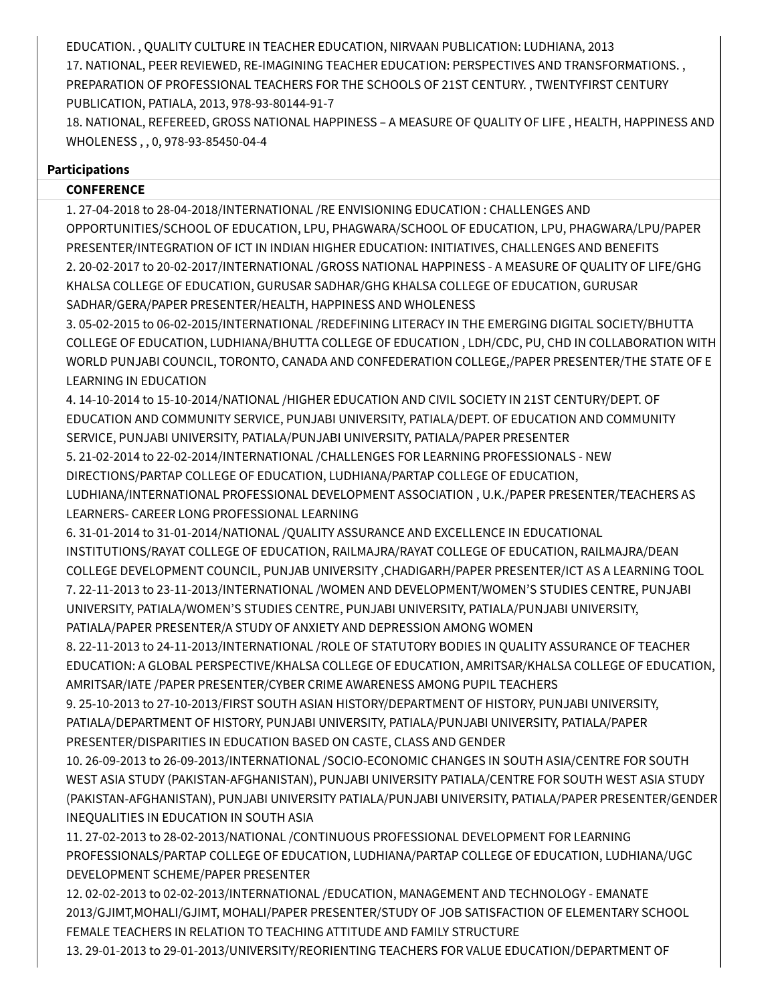EDUCATION. , QUALITY CULTURE IN TEACHER EDUCATION, NIRVAAN PUBLICATION: LUDHIANA, 2013 17. NATIONAL, PEER REVIEWED, RE-IMAGINING TEACHER EDUCATION: PERSPECTIVES AND TRANSFORMATIONS. , PREPARATION OF PROFESSIONAL TEACHERS FOR THE SCHOOLS OF 21ST CENTURY. , TWENTYFIRST CENTURY PUBLICATION, PATIALA, 2013, 978-93-80144-91-7

18. NATIONAL, REFEREED, GROSS NATIONAL HAPPINESS – A MEASURE OF QUALITY OF LIFE , HEALTH, HAPPINESS AND WHOLENESS , , 0, 978-93-85450-04-4

### **Participations**

## **CONFERENCE**

1. 27-04-2018 to 28-04-2018/INTERNATIONAL /RE ENVISIONING EDUCATION : CHALLENGES AND OPPORTUNITIES/SCHOOL OF EDUCATION, LPU, PHAGWARA/SCHOOL OF EDUCATION, LPU, PHAGWARA/LPU/PAPER PRESENTER/INTEGRATION OF ICT IN INDIAN HIGHER EDUCATION: INITIATIVES, CHALLENGES AND BENEFITS 2. 20-02-2017 to 20-02-2017/INTERNATIONAL /GROSS NATIONAL HAPPINESS - A MEASURE OF QUALITY OF LIFE/GHG KHALSA COLLEGE OF EDUCATION, GURUSAR SADHAR/GHG KHALSA COLLEGE OF EDUCATION, GURUSAR SADHAR/GERA/PAPER PRESENTER/HEALTH, HAPPINESS AND WHOLENESS

3. 05-02-2015 to 06-02-2015/INTERNATIONAL /REDEFINING LITERACY IN THE EMERGING DIGITAL SOCIETY/BHUTTA COLLEGE OF EDUCATION, LUDHIANA/BHUTTA COLLEGE OF EDUCATION , LDH/CDC, PU, CHD IN COLLABORATION WITH WORLD PUNJABI COUNCIL, TORONTO, CANADA AND CONFEDERATION COLLEGE,/PAPER PRESENTER/THE STATE OF E LEARNING IN EDUCATION

4. 14-10-2014 to 15-10-2014/NATIONAL /HIGHER EDUCATION AND CIVIL SOCIETY IN 21ST CENTURY/DEPT. OF EDUCATION AND COMMUNITY SERVICE, PUNJABI UNIVERSITY, PATIALA/DEPT. OF EDUCATION AND COMMUNITY SERVICE, PUNJABI UNIVERSITY, PATIALA/PUNJABI UNIVERSITY, PATIALA/PAPER PRESENTER

5. 21-02-2014 to 22-02-2014/INTERNATIONAL /CHALLENGES FOR LEARNING PROFESSIONALS - NEW

DIRECTIONS/PARTAP COLLEGE OF EDUCATION, LUDHIANA/PARTAP COLLEGE OF EDUCATION,

LUDHIANA/INTERNATIONAL PROFESSIONAL DEVELOPMENT ASSOCIATION , U.K./PAPER PRESENTER/TEACHERS AS LEARNERS- CAREER LONG PROFESSIONAL LEARNING

6. 31-01-2014 to 31-01-2014/NATIONAL /QUALITY ASSURANCE AND EXCELLENCE IN EDUCATIONAL

INSTITUTIONS/RAYAT COLLEGE OF EDUCATION, RAILMAJRA/RAYAT COLLEGE OF EDUCATION, RAILMAJRA/DEAN COLLEGE DEVELOPMENT COUNCIL, PUNJAB UNIVERSITY ,CHADIGARH/PAPER PRESENTER/ICT AS A LEARNING TOOL 7. 22-11-2013 to 23-11-2013/INTERNATIONAL /WOMEN AND DEVELOPMENT/WOMEN'S STUDIES CENTRE, PUNJABI UNIVERSITY, PATIALA/WOMEN'S STUDIES CENTRE, PUNJABI UNIVERSITY, PATIALA/PUNJABI UNIVERSITY, PATIALA/PAPER PRESENTER/A STUDY OF ANXIETY AND DEPRESSION AMONG WOMEN

8. 22-11-2013 to 24-11-2013/INTERNATIONAL /ROLE OF STATUTORY BODIES IN QUALITY ASSURANCE OF TEACHER EDUCATION: A GLOBAL PERSPECTIVE/KHALSA COLLEGE OF EDUCATION, AMRITSAR/KHALSA COLLEGE OF EDUCATION, AMRITSAR/IATE /PAPER PRESENTER/CYBER CRIME AWARENESS AMONG PUPIL TEACHERS

9. 25-10-2013 to 27-10-2013/FIRST SOUTH ASIAN HISTORY/DEPARTMENT OF HISTORY, PUNJABI UNIVERSITY, PATIALA/DEPARTMENT OF HISTORY, PUNJABI UNIVERSITY, PATIALA/PUNJABI UNIVERSITY, PATIALA/PAPER PRESENTER/DISPARITIES IN EDUCATION BASED ON CASTE, CLASS AND GENDER

10. 26-09-2013 to 26-09-2013/INTERNATIONAL /SOCIO-ECONOMIC CHANGES IN SOUTH ASIA/CENTRE FOR SOUTH WEST ASIA STUDY (PAKISTAN-AFGHANISTAN), PUNJABI UNIVERSITY PATIALA/CENTRE FOR SOUTH WEST ASIA STUDY (PAKISTAN-AFGHANISTAN), PUNJABI UNIVERSITY PATIALA/PUNJABI UNIVERSITY, PATIALA/PAPER PRESENTER/GENDER INEQUALITIES IN EDUCATION IN SOUTH ASIA

11. 27-02-2013 to 28-02-2013/NATIONAL /CONTINUOUS PROFESSIONAL DEVELOPMENT FOR LEARNING PROFESSIONALS/PARTAP COLLEGE OF EDUCATION, LUDHIANA/PARTAP COLLEGE OF EDUCATION, LUDHIANA/UGC DEVELOPMENT SCHEME/PAPER PRESENTER

12. 02-02-2013 to 02-02-2013/INTERNATIONAL /EDUCATION, MANAGEMENT AND TECHNOLOGY - EMANATE 2013/GJIMT,MOHALI/GJIMT, MOHALI/PAPER PRESENTER/STUDY OF JOB SATISFACTION OF ELEMENTARY SCHOOL FEMALE TEACHERS IN RELATION TO TEACHING ATTITUDE AND FAMILY STRUCTURE

13. 29-01-2013 to 29-01-2013/UNIVERSITY/REORIENTING TEACHERS FOR VALUE EDUCATION/DEPARTMENT OF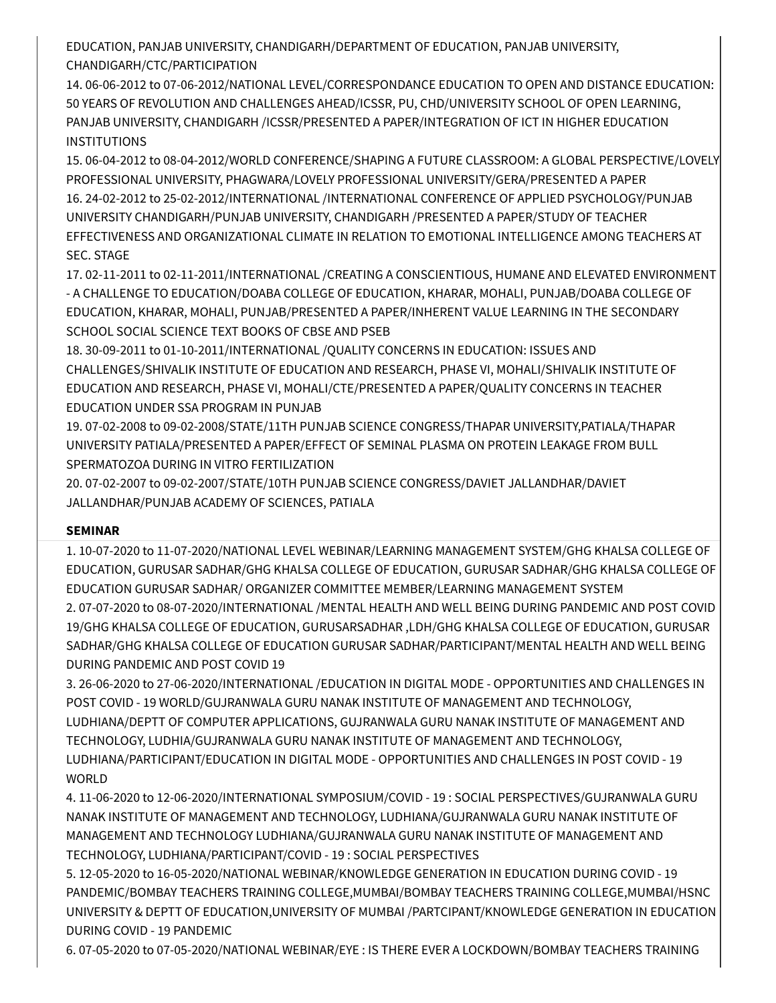EDUCATION, PANJAB UNIVERSITY, CHANDIGARH/DEPARTMENT OF EDUCATION, PANJAB UNIVERSITY, CHANDIGARH/CTC/PARTICIPATION

14. 06-06-2012 to 07-06-2012/NATIONAL LEVEL/CORRESPONDANCE EDUCATION TO OPEN AND DISTANCE EDUCATION: 50 YEARS OF REVOLUTION AND CHALLENGES AHEAD/ICSSR, PU, CHD/UNIVERSITY SCHOOL OF OPEN LEARNING, PANJAB UNIVERSITY, CHANDIGARH /ICSSR/PRESENTED A PAPER/INTEGRATION OF ICT IN HIGHER EDUCATION **INSTITUTIONS** 

15. 06-04-2012 to 08-04-2012/WORLD CONFERENCE/SHAPING A FUTURE CLASSROOM: A GLOBAL PERSPECTIVE/LOVELY PROFESSIONAL UNIVERSITY, PHAGWARA/LOVELY PROFESSIONAL UNIVERSITY/GERA/PRESENTED A PAPER 16. 24-02-2012 to 25-02-2012/INTERNATIONAL /INTERNATIONAL CONFERENCE OF APPLIED PSYCHOLOGY/PUNJAB UNIVERSITY CHANDIGARH/PUNJAB UNIVERSITY, CHANDIGARH /PRESENTED A PAPER/STUDY OF TEACHER EFFECTIVENESS AND ORGANIZATIONAL CLIMATE IN RELATION TO EMOTIONAL INTELLIGENCE AMONG TEACHERS AT SEC. STAGE

17. 02-11-2011 to 02-11-2011/INTERNATIONAL /CREATING A CONSCIENTIOUS, HUMANE AND ELEVATED ENVIRONMENT - A CHALLENGE TO EDUCATION/DOABA COLLEGE OF EDUCATION, KHARAR, MOHALI, PUNJAB/DOABA COLLEGE OF EDUCATION, KHARAR, MOHALI, PUNJAB/PRESENTED A PAPER/INHERENT VALUE LEARNING IN THE SECONDARY SCHOOL SOCIAL SCIENCE TEXT BOOKS OF CBSE AND PSEB

18. 30-09-2011 to 01-10-2011/INTERNATIONAL /QUALITY CONCERNS IN EDUCATION: ISSUES AND CHALLENGES/SHIVALIK INSTITUTE OF EDUCATION AND RESEARCH, PHASE VI, MOHALI/SHIVALIK INSTITUTE OF EDUCATION AND RESEARCH, PHASE VI, MOHALI/CTE/PRESENTED A PAPER/QUALITY CONCERNS IN TEACHER EDUCATION UNDER SSA PROGRAM IN PUNJAB

19. 07-02-2008 to 09-02-2008/STATE/11TH PUNJAB SCIENCE CONGRESS/THAPAR UNIVERSITY,PATIALA/THAPAR UNIVERSITY PATIALA/PRESENTED A PAPER/EFFECT OF SEMINAL PLASMA ON PROTEIN LEAKAGE FROM BULL SPERMATOZOA DURING IN VITRO FERTILIZATION

20. 07-02-2007 to 09-02-2007/STATE/10TH PUNJAB SCIENCE CONGRESS/DAVIET JALLANDHAR/DAVIET JALLANDHAR/PUNJAB ACADEMY OF SCIENCES, PATIALA

# **SEMINAR**

1. 10-07-2020 to 11-07-2020/NATIONAL LEVEL WEBINAR/LEARNING MANAGEMENT SYSTEM/GHG KHALSA COLLEGE OF EDUCATION, GURUSAR SADHAR/GHG KHALSA COLLEGE OF EDUCATION, GURUSAR SADHAR/GHG KHALSA COLLEGE OF EDUCATION GURUSAR SADHAR/ ORGANIZER COMMITTEE MEMBER/LEARNING MANAGEMENT SYSTEM 2. 07-07-2020 to 08-07-2020/INTERNATIONAL /MENTAL HEALTH AND WELL BEING DURING PANDEMIC AND POST COVID 19/GHG KHALSA COLLEGE OF EDUCATION, GURUSARSADHAR ,LDH/GHG KHALSA COLLEGE OF EDUCATION, GURUSAR SADHAR/GHG KHALSA COLLEGE OF EDUCATION GURUSAR SADHAR/PARTICIPANT/MENTAL HEALTH AND WELL BEING DURING PANDEMIC AND POST COVID 19

3. 26-06-2020 to 27-06-2020/INTERNATIONAL /EDUCATION IN DIGITAL MODE - OPPORTUNITIES AND CHALLENGES IN POST COVID - 19 WORLD/GUJRANWALA GURU NANAK INSTITUTE OF MANAGEMENT AND TECHNOLOGY, LUDHIANA/DEPTT OF COMPUTER APPLICATIONS, GUJRANWALA GURU NANAK INSTITUTE OF MANAGEMENT AND TECHNOLOGY, LUDHIA/GUJRANWALA GURU NANAK INSTITUTE OF MANAGEMENT AND TECHNOLOGY, LUDHIANA/PARTICIPANT/EDUCATION IN DIGITAL MODE - OPPORTUNITIES AND CHALLENGES IN POST COVID - 19 WORLD

4. 11-06-2020 to 12-06-2020/INTERNATIONAL SYMPOSIUM/COVID - 19 : SOCIAL PERSPECTIVES/GUJRANWALA GURU NANAK INSTITUTE OF MANAGEMENT AND TECHNOLOGY, LUDHIANA/GUJRANWALA GURU NANAK INSTITUTE OF MANAGEMENT AND TECHNOLOGY LUDHIANA/GUJRANWALA GURU NANAK INSTITUTE OF MANAGEMENT AND TECHNOLOGY, LUDHIANA/PARTICIPANT/COVID - 19 : SOCIAL PERSPECTIVES

5. 12-05-2020 to 16-05-2020/NATIONAL WEBINAR/KNOWLEDGE GENERATION IN EDUCATION DURING COVID - 19 PANDEMIC/BOMBAY TEACHERS TRAINING COLLEGE,MUMBAI/BOMBAY TEACHERS TRAINING COLLEGE,MUMBAI/HSNC UNIVERSITY & DEPTT OF EDUCATION,UNIVERSITY OF MUMBAI /PARTCIPANT/KNOWLEDGE GENERATION IN EDUCATION DURING COVID - 19 PANDEMIC

6. 07-05-2020 to 07-05-2020/NATIONAL WEBINAR/EYE : IS THERE EVER A LOCKDOWN/BOMBAY TEACHERS TRAINING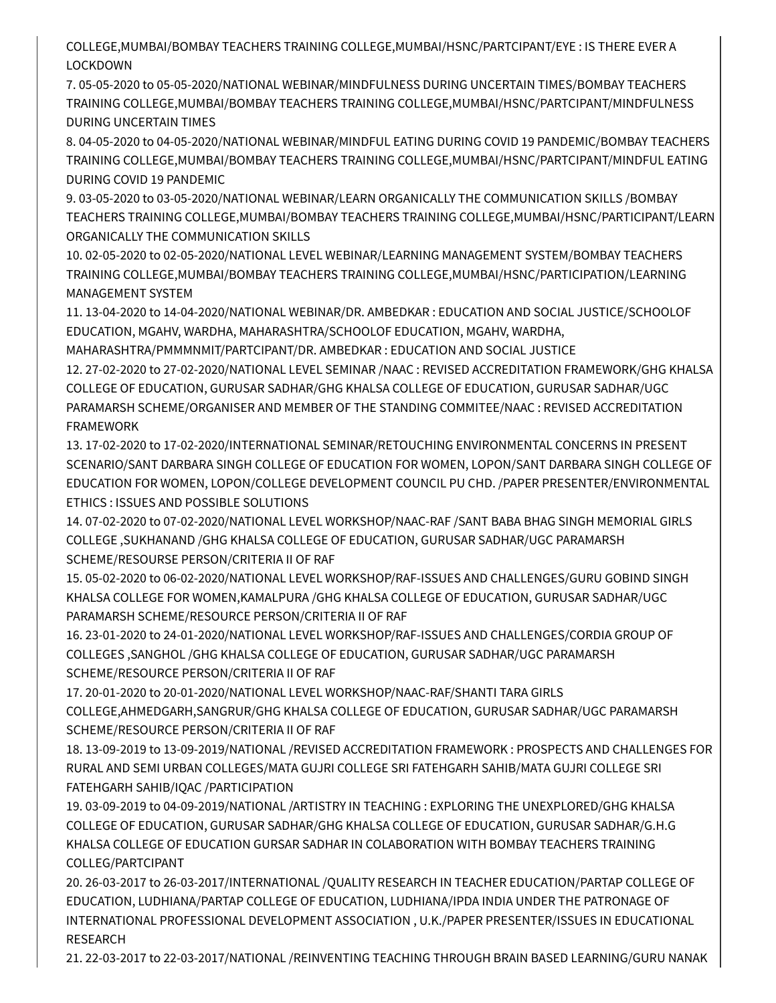COLLEGE,MUMBAI/BOMBAY TEACHERS TRAINING COLLEGE,MUMBAI/HSNC/PARTCIPANT/EYE : IS THERE EVER A LOCKDOWN

7. 05-05-2020 to 05-05-2020/NATIONAL WEBINAR/MINDFULNESS DURING UNCERTAIN TIMES/BOMBAY TEACHERS TRAINING COLLEGE,MUMBAI/BOMBAY TEACHERS TRAINING COLLEGE,MUMBAI/HSNC/PARTCIPANT/MINDFULNESS DURING UNCERTAIN TIMES

8. 04-05-2020 to 04-05-2020/NATIONAL WEBINAR/MINDFUL EATING DURING COVID 19 PANDEMIC/BOMBAY TEACHERS TRAINING COLLEGE,MUMBAI/BOMBAY TEACHERS TRAINING COLLEGE,MUMBAI/HSNC/PARTCIPANT/MINDFUL EATING DURING COVID 19 PANDEMIC

9. 03-05-2020 to 03-05-2020/NATIONAL WEBINAR/LEARN ORGANICALLY THE COMMUNICATION SKILLS /BOMBAY TEACHERS TRAINING COLLEGE,MUMBAI/BOMBAY TEACHERS TRAINING COLLEGE,MUMBAI/HSNC/PARTICIPANT/LEARN ORGANICALLY THE COMMUNICATION SKILLS

10. 02-05-2020 to 02-05-2020/NATIONAL LEVEL WEBINAR/LEARNING MANAGEMENT SYSTEM/BOMBAY TEACHERS TRAINING COLLEGE,MUMBAI/BOMBAY TEACHERS TRAINING COLLEGE,MUMBAI/HSNC/PARTICIPATION/LEARNING MANAGEMENT SYSTEM

11. 13-04-2020 to 14-04-2020/NATIONAL WEBINAR/DR. AMBEDKAR : EDUCATION AND SOCIAL JUSTICE/SCHOOLOF EDUCATION, MGAHV, WARDHA, MAHARASHTRA/SCHOOLOF EDUCATION, MGAHV, WARDHA,

MAHARASHTRA/PMMMNMIT/PARTCIPANT/DR. AMBEDKAR : EDUCATION AND SOCIAL JUSTICE

12. 27-02-2020 to 27-02-2020/NATIONAL LEVEL SEMINAR /NAAC : REVISED ACCREDITATION FRAMEWORK/GHG KHALSA COLLEGE OF EDUCATION, GURUSAR SADHAR/GHG KHALSA COLLEGE OF EDUCATION, GURUSAR SADHAR/UGC PARAMARSH SCHEME/ORGANISER AND MEMBER OF THE STANDING COMMITEE/NAAC : REVISED ACCREDITATION FRAMEWORK

13. 17-02-2020 to 17-02-2020/INTERNATIONAL SEMINAR/RETOUCHING ENVIRONMENTAL CONCERNS IN PRESENT SCENARIO/SANT DARBARA SINGH COLLEGE OF EDUCATION FOR WOMEN, LOPON/SANT DARBARA SINGH COLLEGE OF EDUCATION FOR WOMEN, LOPON/COLLEGE DEVELOPMENT COUNCIL PU CHD. /PAPER PRESENTER/ENVIRONMENTAL ETHICS : ISSUES AND POSSIBLE SOLUTIONS

14. 07-02-2020 to 07-02-2020/NATIONAL LEVEL WORKSHOP/NAAC-RAF /SANT BABA BHAG SINGH MEMORIAL GIRLS COLLEGE ,SUKHANAND /GHG KHALSA COLLEGE OF EDUCATION, GURUSAR SADHAR/UGC PARAMARSH SCHEME/RESOURSE PERSON/CRITERIA II OF RAF

15. 05-02-2020 to 06-02-2020/NATIONAL LEVEL WORKSHOP/RAF-ISSUES AND CHALLENGES/GURU GOBIND SINGH KHALSA COLLEGE FOR WOMEN,KAMALPURA /GHG KHALSA COLLEGE OF EDUCATION, GURUSAR SADHAR/UGC PARAMARSH SCHEME/RESOURCE PERSON/CRITERIA II OF RAF

16. 23-01-2020 to 24-01-2020/NATIONAL LEVEL WORKSHOP/RAF-ISSUES AND CHALLENGES/CORDIA GROUP OF COLLEGES ,SANGHOL /GHG KHALSA COLLEGE OF EDUCATION, GURUSAR SADHAR/UGC PARAMARSH SCHEME/RESOURCE PERSON/CRITERIA II OF RAF

17. 20-01-2020 to 20-01-2020/NATIONAL LEVEL WORKSHOP/NAAC-RAF/SHANTI TARA GIRLS COLLEGE,AHMEDGARH,SANGRUR/GHG KHALSA COLLEGE OF EDUCATION, GURUSAR SADHAR/UGC PARAMARSH SCHEME/RESOURCE PERSON/CRITERIA II OF RAF

18. 13-09-2019 to 13-09-2019/NATIONAL /REVISED ACCREDITATION FRAMEWORK : PROSPECTS AND CHALLENGES FOR RURAL AND SEMI URBAN COLLEGES/MATA GUJRI COLLEGE SRI FATEHGARH SAHIB/MATA GUJRI COLLEGE SRI FATEHGARH SAHIB/IQAC /PARTICIPATION

19. 03-09-2019 to 04-09-2019/NATIONAL /ARTISTRY IN TEACHING : EXPLORING THE UNEXPLORED/GHG KHALSA COLLEGE OF EDUCATION, GURUSAR SADHAR/GHG KHALSA COLLEGE OF EDUCATION, GURUSAR SADHAR/G.H.G KHALSA COLLEGE OF EDUCATION GURSAR SADHAR IN COLABORATION WITH BOMBAY TEACHERS TRAINING COLLEG/PARTCIPANT

20. 26-03-2017 to 26-03-2017/INTERNATIONAL /QUALITY RESEARCH IN TEACHER EDUCATION/PARTAP COLLEGE OF EDUCATION, LUDHIANA/PARTAP COLLEGE OF EDUCATION, LUDHIANA/IPDA INDIA UNDER THE PATRONAGE OF INTERNATIONAL PROFESSIONAL DEVELOPMENT ASSOCIATION , U.K./PAPER PRESENTER/ISSUES IN EDUCATIONAL RESEARCH

21. 22-03-2017 to 22-03-2017/NATIONAL /REINVENTING TEACHING THROUGH BRAIN BASED LEARNING/GURU NANAK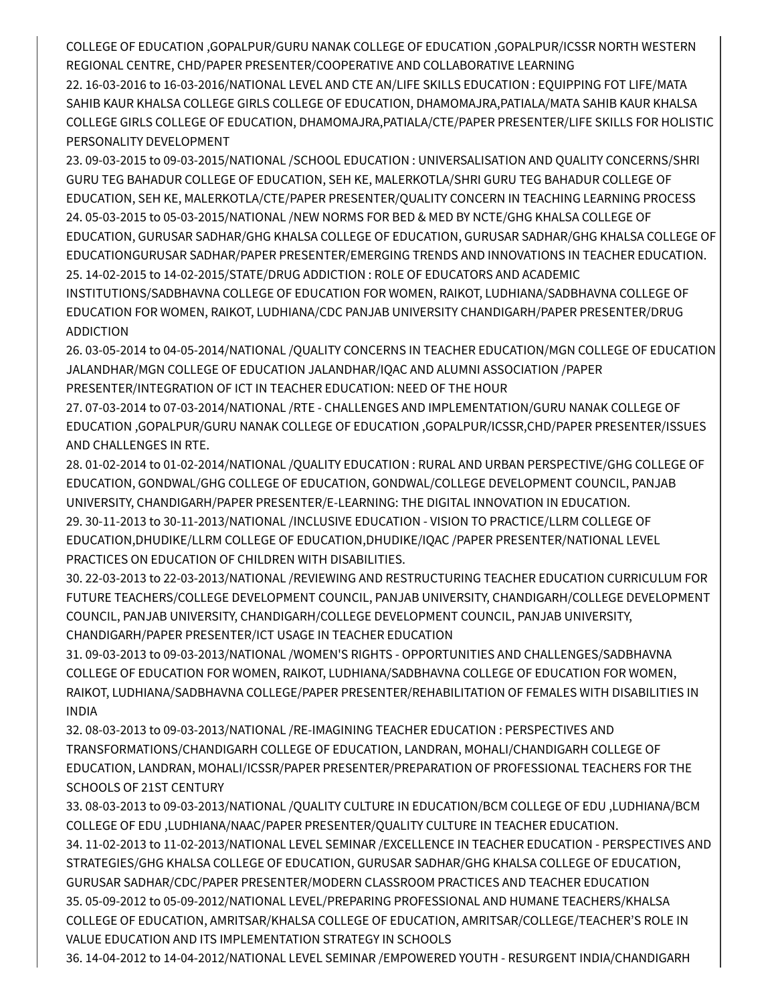COLLEGE OF EDUCATION ,GOPALPUR/GURU NANAK COLLEGE OF EDUCATION ,GOPALPUR/ICSSR NORTH WESTERN REGIONAL CENTRE, CHD/PAPER PRESENTER/COOPERATIVE AND COLLABORATIVE LEARNING

22. 16-03-2016 to 16-03-2016/NATIONAL LEVEL AND CTE AN/LIFE SKILLS EDUCATION : EQUIPPING FOT LIFE/MATA SAHIB KAUR KHALSA COLLEGE GIRLS COLLEGE OF EDUCATION, DHAMOMAJRA,PATIALA/MATA SAHIB KAUR KHALSA COLLEGE GIRLS COLLEGE OF EDUCATION, DHAMOMAJRA,PATIALA/CTE/PAPER PRESENTER/LIFE SKILLS FOR HOLISTIC PERSONALITY DEVELOPMENT

23. 09-03-2015 to 09-03-2015/NATIONAL /SCHOOL EDUCATION : UNIVERSALISATION AND QUALITY CONCERNS/SHRI GURU TEG BAHADUR COLLEGE OF EDUCATION, SEH KE, MALERKOTLA/SHRI GURU TEG BAHADUR COLLEGE OF EDUCATION, SEH KE, MALERKOTLA/CTE/PAPER PRESENTER/QUALITY CONCERN IN TEACHING LEARNING PROCESS 24. 05-03-2015 to 05-03-2015/NATIONAL /NEW NORMS FOR BED & MED BY NCTE/GHG KHALSA COLLEGE OF EDUCATION, GURUSAR SADHAR/GHG KHALSA COLLEGE OF EDUCATION, GURUSAR SADHAR/GHG KHALSA COLLEGE OF EDUCATIONGURUSAR SADHAR/PAPER PRESENTER/EMERGING TRENDS AND INNOVATIONS IN TEACHER EDUCATION. 25. 14-02-2015 to 14-02-2015/STATE/DRUG ADDICTION : ROLE OF EDUCATORS AND ACADEMIC

INSTITUTIONS/SADBHAVNA COLLEGE OF EDUCATION FOR WOMEN, RAIKOT, LUDHIANA/SADBHAVNA COLLEGE OF EDUCATION FOR WOMEN, RAIKOT, LUDHIANA/CDC PANJAB UNIVERSITY CHANDIGARH/PAPER PRESENTER/DRUG ADDICTION

26. 03-05-2014 to 04-05-2014/NATIONAL /QUALITY CONCERNS IN TEACHER EDUCATION/MGN COLLEGE OF EDUCATION JALANDHAR/MGN COLLEGE OF EDUCATION JALANDHAR/IQAC AND ALUMNI ASSOCIATION /PAPER PRESENTER/INTEGRATION OF ICT IN TEACHER EDUCATION: NEED OF THE HOUR

27. 07-03-2014 to 07-03-2014/NATIONAL /RTE - CHALLENGES AND IMPLEMENTATION/GURU NANAK COLLEGE OF EDUCATION ,GOPALPUR/GURU NANAK COLLEGE OF EDUCATION ,GOPALPUR/ICSSR,CHD/PAPER PRESENTER/ISSUES AND CHALLENGES IN RTE.

28. 01-02-2014 to 01-02-2014/NATIONAL /QUALITY EDUCATION : RURAL AND URBAN PERSPECTIVE/GHG COLLEGE OF EDUCATION, GONDWAL/GHG COLLEGE OF EDUCATION, GONDWAL/COLLEGE DEVELOPMENT COUNCIL, PANJAB UNIVERSITY, CHANDIGARH/PAPER PRESENTER/E-LEARNING: THE DIGITAL INNOVATION IN EDUCATION. 29. 30-11-2013 to 30-11-2013/NATIONAL /INCLUSIVE EDUCATION - VISION TO PRACTICE/LLRM COLLEGE OF EDUCATION,DHUDIKE/LLRM COLLEGE OF EDUCATION,DHUDIKE/IQAC /PAPER PRESENTER/NATIONAL LEVEL PRACTICES ON EDUCATION OF CHILDREN WITH DISABILITIES.

30. 22-03-2013 to 22-03-2013/NATIONAL /REVIEWING AND RESTRUCTURING TEACHER EDUCATION CURRICULUM FOR FUTURE TEACHERS/COLLEGE DEVELOPMENT COUNCIL, PANJAB UNIVERSITY, CHANDIGARH/COLLEGE DEVELOPMENT COUNCIL, PANJAB UNIVERSITY, CHANDIGARH/COLLEGE DEVELOPMENT COUNCIL, PANJAB UNIVERSITY, CHANDIGARH/PAPER PRESENTER/ICT USAGE IN TEACHER EDUCATION

31. 09-03-2013 to 09-03-2013/NATIONAL /WOMEN'S RIGHTS - OPPORTUNITIES AND CHALLENGES/SADBHAVNA COLLEGE OF EDUCATION FOR WOMEN, RAIKOT, LUDHIANA/SADBHAVNA COLLEGE OF EDUCATION FOR WOMEN, RAIKOT, LUDHIANA/SADBHAVNA COLLEGE/PAPER PRESENTER/REHABILITATION OF FEMALES WITH DISABILITIES IN INDIA

32. 08-03-2013 to 09-03-2013/NATIONAL /RE-IMAGINING TEACHER EDUCATION : PERSPECTIVES AND TRANSFORMATIONS/CHANDIGARH COLLEGE OF EDUCATION, LANDRAN, MOHALI/CHANDIGARH COLLEGE OF EDUCATION, LANDRAN, MOHALI/ICSSR/PAPER PRESENTER/PREPARATION OF PROFESSIONAL TEACHERS FOR THE SCHOOLS OF 21ST CENTURY

33. 08-03-2013 to 09-03-2013/NATIONAL /QUALITY CULTURE IN EDUCATION/BCM COLLEGE OF EDU ,LUDHIANA/BCM COLLEGE OF EDU ,LUDHIANA/NAAC/PAPER PRESENTER/QUALITY CULTURE IN TEACHER EDUCATION.

34. 11-02-2013 to 11-02-2013/NATIONAL LEVEL SEMINAR /EXCELLENCE IN TEACHER EDUCATION - PERSPECTIVES AND STRATEGIES/GHG KHALSA COLLEGE OF EDUCATION, GURUSAR SADHAR/GHG KHALSA COLLEGE OF EDUCATION, GURUSAR SADHAR/CDC/PAPER PRESENTER/MODERN CLASSROOM PRACTICES AND TEACHER EDUCATION 35. 05-09-2012 to 05-09-2012/NATIONAL LEVEL/PREPARING PROFESSIONAL AND HUMANE TEACHERS/KHALSA COLLEGE OF EDUCATION, AMRITSAR/KHALSA COLLEGE OF EDUCATION, AMRITSAR/COLLEGE/TEACHER'S ROLE IN VALUE EDUCATION AND ITS IMPLEMENTATION STRATEGY IN SCHOOLS

36. 14-04-2012 to 14-04-2012/NATIONAL LEVEL SEMINAR /EMPOWERED YOUTH - RESURGENT INDIA/CHANDIGARH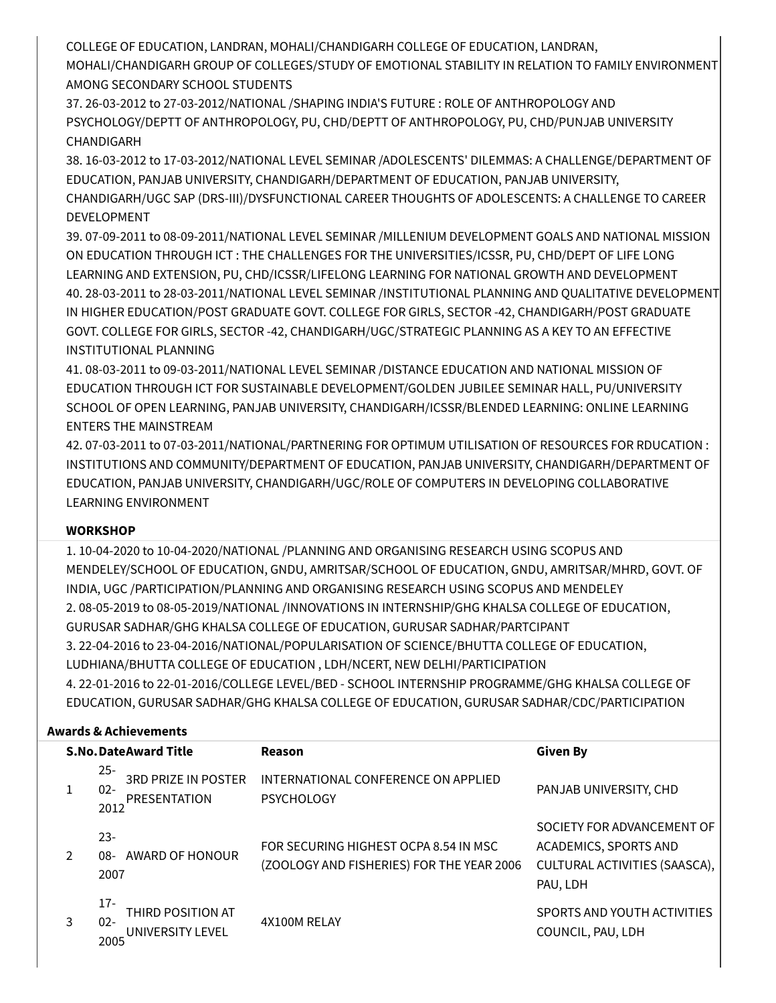COLLEGE OF EDUCATION, LANDRAN, MOHALI/CHANDIGARH COLLEGE OF EDUCATION, LANDRAN,

MOHALI/CHANDIGARH GROUP OF COLLEGES/STUDY OF EMOTIONAL STABILITY IN RELATION TO FAMILY ENVIRONMENT AMONG SECONDARY SCHOOL STUDENTS

37. 26-03-2012 to 27-03-2012/NATIONAL /SHAPING INDIA'S FUTURE : ROLE OF ANTHROPOLOGY AND PSYCHOLOGY/DEPTT OF ANTHROPOLOGY, PU, CHD/DEPTT OF ANTHROPOLOGY, PU, CHD/PUNJAB UNIVERSITY CHANDIGARH

38. 16-03-2012 to 17-03-2012/NATIONAL LEVEL SEMINAR /ADOLESCENTS' DILEMMAS: A CHALLENGE/DEPARTMENT OF EDUCATION, PANJAB UNIVERSITY, CHANDIGARH/DEPARTMENT OF EDUCATION, PANJAB UNIVERSITY, CHANDIGARH/UGC SAP (DRS-III)/DYSFUNCTIONAL CAREER THOUGHTS OF ADOLESCENTS: A CHALLENGE TO CAREER DEVELOPMENT

39. 07-09-2011 to 08-09-2011/NATIONAL LEVEL SEMINAR /MILLENIUM DEVELOPMENT GOALS AND NATIONAL MISSION ON EDUCATION THROUGH ICT : THE CHALLENGES FOR THE UNIVERSITIES/ICSSR, PU, CHD/DEPT OF LIFE LONG LEARNING AND EXTENSION, PU, CHD/ICSSR/LIFELONG LEARNING FOR NATIONAL GROWTH AND DEVELOPMENT 40. 28-03-2011 to 28-03-2011/NATIONAL LEVEL SEMINAR /INSTITUTIONAL PLANNING AND QUALITATIVE DEVELOPMENT IN HIGHER EDUCATION/POST GRADUATE GOVT. COLLEGE FOR GIRLS, SECTOR -42, CHANDIGARH/POST GRADUATE GOVT. COLLEGE FOR GIRLS, SECTOR -42, CHANDIGARH/UGC/STRATEGIC PLANNING AS A KEY TO AN EFFECTIVE INSTITUTIONAL PLANNING

41. 08-03-2011 to 09-03-2011/NATIONAL LEVEL SEMINAR /DISTANCE EDUCATION AND NATIONAL MISSION OF EDUCATION THROUGH ICT FOR SUSTAINABLE DEVELOPMENT/GOLDEN JUBILEE SEMINAR HALL, PU/UNIVERSITY SCHOOL OF OPEN LEARNING, PANJAB UNIVERSITY, CHANDIGARH/ICSSR/BLENDED LEARNING: ONLINE LEARNING ENTERS THE MAINSTREAM

42. 07-03-2011 to 07-03-2011/NATIONAL/PARTNERING FOR OPTIMUM UTILISATION OF RESOURCES FOR RDUCATION : INSTITUTIONS AND COMMUNITY/DEPARTMENT OF EDUCATION, PANJAB UNIVERSITY, CHANDIGARH/DEPARTMENT OF EDUCATION, PANJAB UNIVERSITY, CHANDIGARH/UGC/ROLE OF COMPUTERS IN DEVELOPING COLLABORATIVE LEARNING ENVIRONMENT

### **WORKSHOP**

1. 10-04-2020 to 10-04-2020/NATIONAL /PLANNING AND ORGANISING RESEARCH USING SCOPUS AND MENDELEY/SCHOOL OF EDUCATION, GNDU, AMRITSAR/SCHOOL OF EDUCATION, GNDU, AMRITSAR/MHRD, GOVT. OF INDIA, UGC /PARTICIPATION/PLANNING AND ORGANISING RESEARCH USING SCOPUS AND MENDELEY 2. 08-05-2019 to 08-05-2019/NATIONAL /INNOVATIONS IN INTERNSHIP/GHG KHALSA COLLEGE OF EDUCATION, GURUSAR SADHAR/GHG KHALSA COLLEGE OF EDUCATION, GURUSAR SADHAR/PARTCIPANT 3. 22-04-2016 to 23-04-2016/NATIONAL/POPULARISATION OF SCIENCE/BHUTTA COLLEGE OF EDUCATION, LUDHIANA/BHUTTA COLLEGE OF EDUCATION , LDH/NCERT, NEW DELHI/PARTICIPATION 4. 22-01-2016 to 22-01-2016/COLLEGE LEVEL/BED - SCHOOL INTERNSHIP PROGRAMME/GHG KHALSA COLLEGE OF EDUCATION, GURUSAR SADHAR/GHG KHALSA COLLEGE OF EDUCATION, GURUSAR SADHAR/CDC/PARTICIPATION

### **Awards & Achievements**

| <b>S.No.DateAward Title</b> |   |                                                                        | Reason                                                                             | <b>Given By</b>                                                                                  |  |
|-----------------------------|---|------------------------------------------------------------------------|------------------------------------------------------------------------------------|--------------------------------------------------------------------------------------------------|--|
|                             |   | $25 -$<br><b>3RD PRIZE IN POSTER</b><br>$02 -$<br>PRESENTATION<br>2012 | INTERNATIONAL CONFERENCE ON APPLIED<br><b>PSYCHOLOGY</b>                           | PANJAB UNIVERSITY, CHD                                                                           |  |
|                             |   | $23 -$<br>AWARD OF HONOUR<br>-80<br>2007                               | FOR SECURING HIGHEST OCPA 8.54 IN MSC<br>(ZOOLOGY AND FISHERIES) FOR THE YEAR 2006 | SOCIETY FOR ADVANCEMENT OF<br>ACADEMICS, SPORTS AND<br>CULTURAL ACTIVITIES (SAASCA),<br>PAU, LDH |  |
|                             | 3 | 17-<br>THIRD POSITION AT<br>$02 -$<br>UNIVERSITY LEVEL<br>2005         | 4X100M RELAY                                                                       | SPORTS AND YOUTH ACTIVITIES<br>COUNCIL, PAU, LDH                                                 |  |